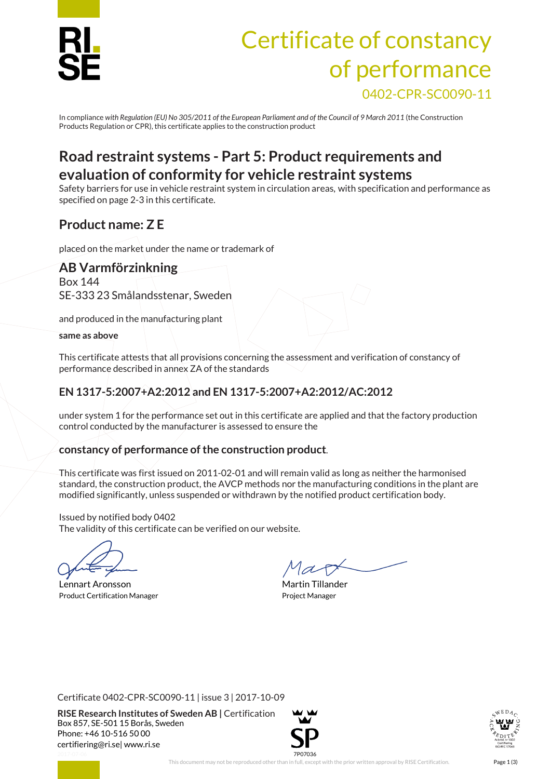

# Certificate of constancy of performance 0402-CPR-SC0090-11

In compliance *with Regulation (EU) No 305/2011 of the European Parliament and of the Council of 9 March 2011* (the Construction Products Regulation or CPR), this certificate applies to the construction product

# **Road restraint systems - Part 5: Product requirements and evaluation of conformity for vehicle restraint systems**

Safety barriers for use in vehicle restraint system in circulation areas, with specification and performance as specified on page 2-3 in this certificate.

# **Product name: Z E**

placed on the market under the name or trademark of

#### **AB Varmförzinkning**

Box 144 SE-333 23 Smålandsstenar, Sweden

and produced in the manufacturing plant

#### **same as above**

This certificate attests that all provisions concerning the assessment and verification of constancy of performance described in annex ZA of the standards

### **EN 1317-5:2007+A2:2012 and EN 1317-5:2007+A2:2012/AC:2012**

under system 1 for the performance set out in this certificate are applied and that the factory production control conducted by the manufacturer is assessed to ensure the

#### **constancy of performance of the construction product**.

This certificate was first issued on 2011-02-01 and will remain valid as long as neither the harmonised standard, the construction product, the AVCP methods nor the manufacturing conditions in the plant are modified significantly, unless suspended or withdrawn by the notified product certification body.

Issued by notified body 0402 The validity of this certificate can be verified on our website.

Lennart Aronsson and Tillander Martin Tillander Product Certification Manager **Product Certification Manager** Project Manager

Certificate 0402-CPR-SC0090-11 | issue 3 | 2017-10-09

**RISE Research Institutes of Sweden AB |** Certification Box 857, SE-501 15 Borås, Sweden Phone: +46 10-516 50 00 [certifiering@ri.se|](mailto:certifiering@ri.se) www.ri.se



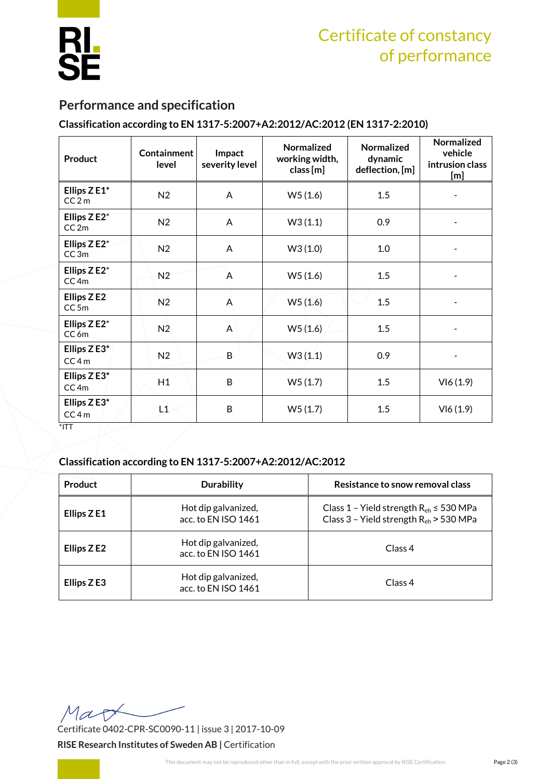

# Certificate of constancy of performance

## **Performance and specification**

#### **Classification according to EN 1317-5:2007+A2:2012/AC:2012 (EN 1317-2:2010)**

| <b>Product</b>                     | <b>Containment</b><br>level | Impact<br>severity level | Normalized<br>working width,<br>class [m] | <b>Normalized</b><br>dynamic<br>deflection, [m] | Normalized<br>vehicle<br>intrusion class<br>[m] |
|------------------------------------|-----------------------------|--------------------------|-------------------------------------------|-------------------------------------------------|-------------------------------------------------|
| Ellips ZE1*<br>CC2m                | N <sub>2</sub>              | A                        | W5(1.6)                                   | 1.5                                             |                                                 |
| Ellips Z E2*<br>CC2m               | N2                          | A                        | W3(1.1)                                   | 0.9                                             |                                                 |
| Ellips Z E2*<br>CC3m               | N <sub>2</sub>              | A                        | W3(1.0)                                   | 1.0                                             |                                                 |
| Ellips Z E2*<br>CC <sub>4m</sub>   | N2                          | A                        | W5(1.6)                                   | 1.5                                             |                                                 |
| Ellips Z E2<br>CC <sub>5m</sub>    | N2                          | A                        | W5(1.6)                                   | 1.5                                             |                                                 |
| Ellips Z E2*<br>CC <sub>6m</sub>   | N2                          | A                        | W5(1.6)                                   | 1.5                                             |                                                 |
| Ellips $Z E3^*$<br>CC4m            | N2                          | $\overline{B}$           | W3(1.1)                                   | 0.9                                             |                                                 |
| Ellips $ZE3^*$<br>CC <sub>4m</sub> | H1                          | B                        | W5(1.7)                                   | 1.5                                             | VI6(1.9)                                        |
| Ellips $Z E3^*$<br>CC4m<br>$TTI*$  | L1                          | B                        | W5(1.7)                                   | 1.5                                             | VI6(1.9)                                        |

\*ITT

#### **Classification according to EN 1317-5:2007+A2:2012/AC:2012**

| Product     | <b>Durability</b>                          | Resistance to snow removal class                                                                |  |
|-------------|--------------------------------------------|-------------------------------------------------------------------------------------------------|--|
| Ellips Z E1 | Hot dip galvanized,<br>acc. to EN ISO 1461 | Class 1 - Yield strength $R_{eh}$ $\leq$ 530 MPa<br>Class 3 - Yield strength $R_{eh}$ > 530 MPa |  |
| Ellips Z E2 | Hot dip galvanized,<br>acc. to EN ISO 1461 | Class 4                                                                                         |  |
| Ellips Z E3 | Hot dip galvanized,<br>acc. to EN ISO 1461 | Class 4                                                                                         |  |

Map Certificate 0402-CPR-SC0090-11 | issue 3 | 2017-10-09

**RISE Research Institutes of Sweden AB |** Certification